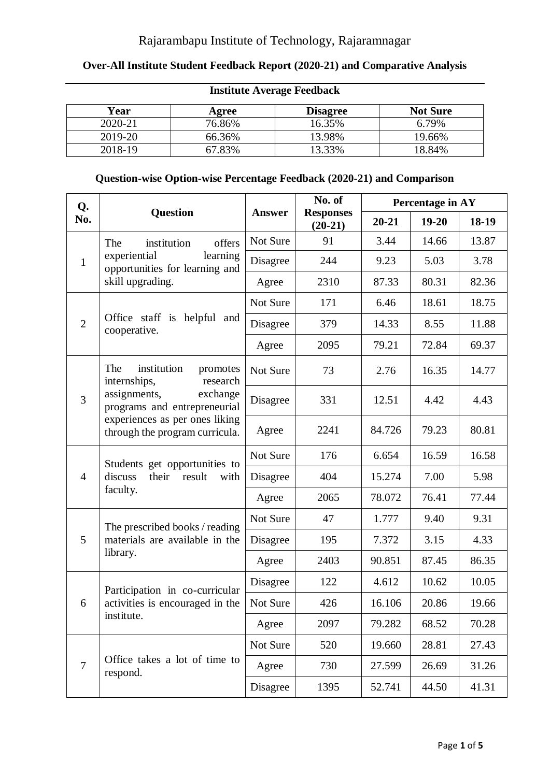### Rajarambapu Institute of Technology, Rajaramnagar

#### **Over-All Institute Student Feedback Report (2020-21) and Comparative Analysis**

| Year    | Agree  | <b>Disagree</b> | <b>Not Sure</b> |
|---------|--------|-----------------|-----------------|
| 2020-21 | 76.86% | 16.35%          | 6.79%           |
| 2019-20 | 66.36% | 13.98%          | 19.66%          |
| 2018-19 | 67.83% | 13.33%          | 18.84%          |

## **Institute Average Feedback**

### **Question-wise Option-wise Percentage Feedback (2020-21) and Comparison**

| Q.                             |                                                                     |               | No. of                        | Percentage in AY |           |       |
|--------------------------------|---------------------------------------------------------------------|---------------|-------------------------------|------------------|-----------|-------|
| No.                            | <b>Question</b>                                                     | <b>Answer</b> | <b>Responses</b><br>$(20-21)$ | $20 - 21$        | $19 - 20$ | 18-19 |
|                                | The<br>offers<br>institution                                        | Not Sure      | 91                            | 3.44             | 14.66     | 13.87 |
| $\mathbf{1}$                   | learning<br>experiential<br>opportunities for learning and          | Disagree      | 244                           | 9.23             | 5.03      | 3.78  |
|                                | skill upgrading.                                                    | Agree         | 2310                          | 87.33            | 80.31     | 82.36 |
|                                |                                                                     | Not Sure      | 171                           | 6.46             | 18.61     | 18.75 |
| $\overline{2}$                 | Office staff is helpful and<br>cooperative.                         | Disagree      | 379                           | 14.33            | 8.55      | 11.88 |
|                                |                                                                     | Agree         | 2095                          | 79.21            | 72.84     | 69.37 |
|                                | institution<br>The<br>promotes<br>internships,<br>research          | Not Sure      | 73                            | 2.76             | 16.35     | 14.77 |
| assignments,<br>$\overline{3}$ | exchange<br>programs and entrepreneurial                            | Disagree      | 331                           | 12.51            | 4.42      | 4.43  |
|                                | experiences as per ones liking<br>through the program curricula.    | Agree         | 2241                          | 84.726           | 79.23     | 80.81 |
| $\overline{4}$                 | Students get opportunities to<br>discuss<br>their<br>result<br>with | Not Sure      | 176                           | 6.654            | 16.59     | 16.58 |
|                                |                                                                     | Disagree      | 404                           | 15.274           | 7.00      | 5.98  |
|                                | faculty.                                                            | Agree         | 2065                          | 78.072           | 76.41     | 77.44 |
|                                | The prescribed books / reading                                      | Not Sure      | 47                            | 1.777            | 9.40      | 9.31  |
| 5                              | materials are available in the                                      | Disagree      | 195                           | 7.372            | 3.15      | 4.33  |
|                                | library.                                                            | Agree         | 2403                          | 90.851           | 87.45     | 86.35 |
| 6                              | Participation in co-curricular<br>activities is encouraged in the   | Disagree      | 122                           | 4.612            | 10.62     | 10.05 |
|                                |                                                                     | Not Sure      | 426                           | 16.106           | 20.86     | 19.66 |
|                                | institute.                                                          | Agree         | 2097                          | 79.282           | 68.52     | 70.28 |
|                                |                                                                     | Not Sure      | 520                           | 19.660           | 28.81     | 27.43 |
| $\overline{7}$                 | Office takes a lot of time to<br>respond.                           | Agree         | 730                           | 27.599           | 26.69     | 31.26 |
|                                |                                                                     | Disagree      | 1395                          | 52.741           | 44.50     | 41.31 |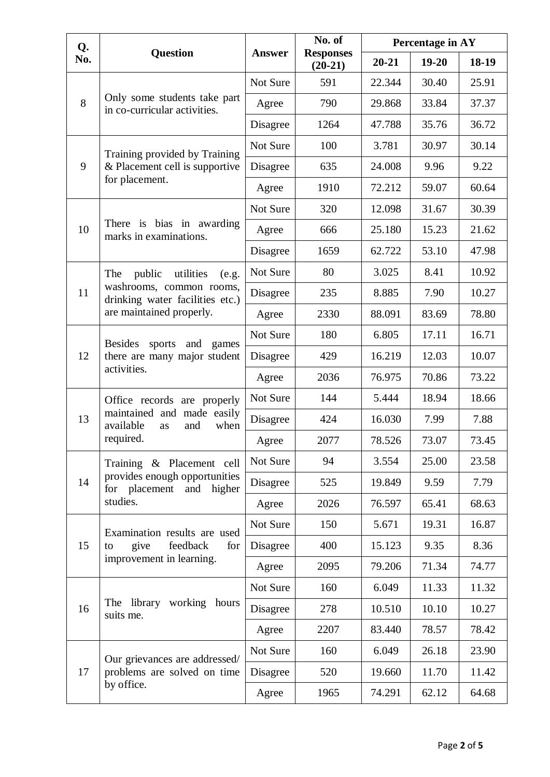| Q.  |                                                                          | <b>Answer</b> | No. of<br><b>Responses</b><br>$(20-21)$ | Percentage in AY |           |       |  |
|-----|--------------------------------------------------------------------------|---------------|-----------------------------------------|------------------|-----------|-------|--|
| No. | <b>Question</b>                                                          |               |                                         | $20 - 21$        | $19 - 20$ | 18-19 |  |
| 8   |                                                                          | Not Sure      | 591                                     | 22.344           | 30.40     | 25.91 |  |
|     | Only some students take part<br>in co-curricular activities.             | Agree         | 790                                     | 29.868           | 33.84     | 37.37 |  |
|     |                                                                          | Disagree      | 1264                                    | 47.788           | 35.76     | 36.72 |  |
|     | Training provided by Training                                            | Not Sure      | 100                                     | 3.781            | 30.97     | 30.14 |  |
| 9   | & Placement cell is supportive                                           | Disagree      | 635                                     | 24.008           | 9.96      | 9.22  |  |
|     | for placement.                                                           | Agree         | 1910                                    | 72.212           | 59.07     | 60.64 |  |
|     |                                                                          | Not Sure      | 320                                     | 12.098           | 31.67     | 30.39 |  |
| 10  | There is bias in awarding<br>marks in examinations.                      | Agree         | 666                                     | 25.180           | 15.23     | 21.62 |  |
|     |                                                                          | Disagree      | 1659                                    | 62.722           | 53.10     | 47.98 |  |
|     | The<br>public<br>utilities<br>(e.g.                                      | Not Sure      | 80                                      | 3.025            | 8.41      | 10.92 |  |
| 11  | washrooms, common rooms,<br>drinking water facilities etc.)              | Disagree      | 235                                     | 8.885            | 7.90      | 10.27 |  |
|     | are maintained properly.                                                 | Agree         | 2330                                    | 88.091           | 83.69     | 78.80 |  |
|     | <b>Besides</b><br>and<br>sports<br>games<br>there are many major student | Not Sure      | 180                                     | 6.805            | 17.11     | 16.71 |  |
| 12  |                                                                          | Disagree      | 429                                     | 16.219           | 12.03     | 10.07 |  |
|     | activities.                                                              | Agree         | 2036                                    | 76.975           | 70.86     | 73.22 |  |
|     | Office records are properly                                              | Not Sure      | 144                                     | 5.444            | 18.94     | 18.66 |  |
| 13  | maintained and made easily<br>available<br>when<br>and<br>as             | Disagree      | 424                                     | 16.030           | 7.99      | 7.88  |  |
|     | required.                                                                | Agree         | 2077                                    | 78.526           | 73.07     | 73.45 |  |
|     | Training & Placement cell                                                |               | 94                                      | 3.554            | 25.00     | 23.58 |  |
| 14  | provides enough opportunities<br>for placement and<br>higher             | Disagree      | 525                                     | 19.849           | 9.59      | 7.79  |  |
|     | studies.                                                                 | Agree         | 2026                                    | 76.597           | 65.41     | 68.63 |  |
|     | Examination results are used                                             | Not Sure      | 150                                     | 5.671            | 19.31     | 16.87 |  |
| 15  | give<br>feedback<br>for<br>to                                            | Disagree      | 400                                     | 15.123           | 9.35      | 8.36  |  |
|     | improvement in learning.                                                 | Agree         | 2095                                    | 79.206           | 71.34     | 74.77 |  |
| 16  |                                                                          | Not Sure      | 160                                     | 6.049            | 11.33     | 11.32 |  |
|     | The library working<br>hours<br>suits me.                                | Disagree      | 278                                     | 10.510           | 10.10     | 10.27 |  |
|     |                                                                          | Agree         | 2207                                    | 83.440           | 78.57     | 78.42 |  |
|     | Our grievances are addressed/                                            | Not Sure      | 160                                     | 6.049            | 26.18     | 23.90 |  |
| 17  | problems are solved on time                                              | Disagree      | 520                                     | 19.660           | 11.70     | 11.42 |  |
|     | by office.                                                               | Agree         | 1965                                    | 74.291           | 62.12     | 64.68 |  |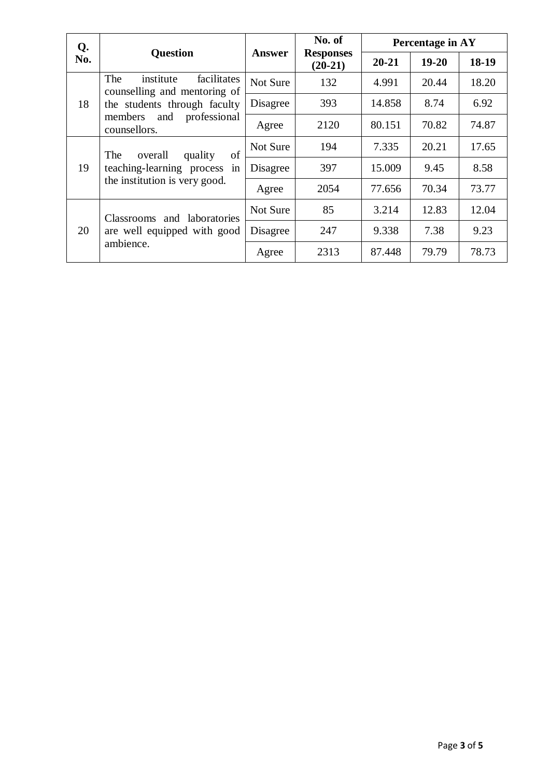| Q.  |                                                                                                     | <b>Answer</b> | No. of                        | Percentage in AY |           |       |
|-----|-----------------------------------------------------------------------------------------------------|---------------|-------------------------------|------------------|-----------|-------|
| No. | <b>Question</b>                                                                                     |               | <b>Responses</b><br>$(20-21)$ | $20 - 21$        | $19 - 20$ | 18-19 |
|     | facilitates<br>The<br>institute<br>counselling and mentoring of                                     | Not Sure      | 132                           | 4.991            | 20.44     | 18.20 |
| 18  | the students through faculty                                                                        | Disagree      | 393                           | 14.858           | 8.74      | 6.92  |
|     | and professional<br>members<br>counsellors.                                                         | Agree         | 2120                          | 80.151           | 70.82     | 74.87 |
| 19  | of<br>The<br>overall<br>quality<br>teaching-learning process<br>in<br>the institution is very good. | Not Sure      | 194                           | 7.335            | 20.21     | 17.65 |
|     |                                                                                                     | Disagree      | 397                           | 15.009           | 9.45      | 8.58  |
|     |                                                                                                     | Agree         | 2054                          | 77.656           | 70.34     | 73.77 |
| 20  | Classrooms and laboratories<br>are well equipped with good<br>ambience.                             | Not Sure      | 85                            | 3.214            | 12.83     | 12.04 |
|     |                                                                                                     | Disagree      | 247                           | 9.338            | 7.38      | 9.23  |
|     |                                                                                                     | Agree         | 2313                          | 87.448           | 79.79     | 78.73 |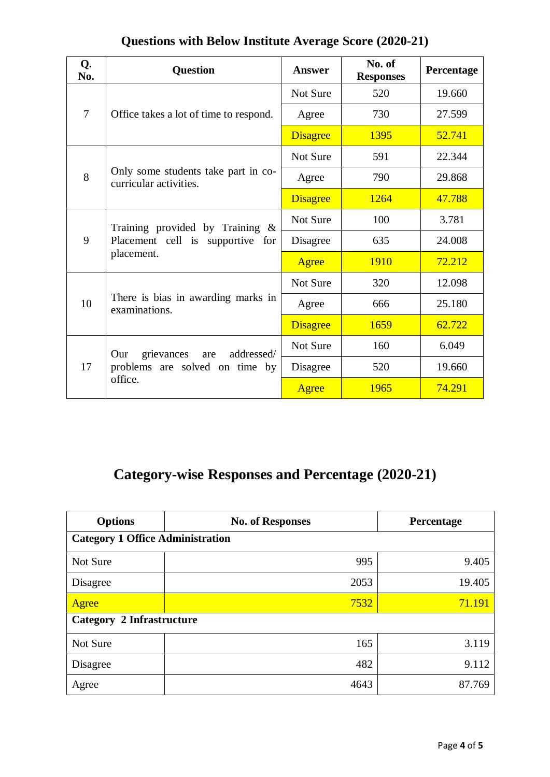| <b>Questions with Below Institute Average Score (2020-21)</b> |  |  |  |
|---------------------------------------------------------------|--|--|--|
|                                                               |  |  |  |

| Q.<br>No.      | <b>Question</b>                                               | Answer          | No. of<br><b>Responses</b> | Percentage |
|----------------|---------------------------------------------------------------|-----------------|----------------------------|------------|
|                |                                                               | Not Sure        | 520                        | 19.660     |
| $\overline{7}$ | Office takes a lot of time to respond.                        | Agree           | 730                        | 27.599     |
|                |                                                               | <b>Disagree</b> | 1395                       | 52.741     |
|                |                                                               | Not Sure        | 591                        | 22.344     |
| 8              | Only some students take part in co-<br>curricular activities. | Agree           | 790                        | 29.868     |
|                |                                                               | <b>Disagree</b> | 1264                       | 47.788     |
| 9              | Training provided by Training $\&$                            | Not Sure        | 100                        | 3.781      |
|                | Placement cell is supportive for                              | Disagree        | 635                        | 24.008     |
|                | placement.                                                    | Agree           | 1910                       | 72.212     |
|                |                                                               | Not Sure        | 320                        | 12.098     |
| 10             | There is bias in awarding marks in<br>examinations.           | Agree           | 666                        | 25.180     |
|                |                                                               | <b>Disagree</b> | 1659                       | 62.722     |
| 17             | addressed/<br>Our<br>grievances<br>are                        | Not Sure        | 160                        | 6.049      |
|                | problems are solved on time by                                | Disagree        | 520                        | 19.660     |
|                | office.                                                       | Agree           | 1965                       | 74.291     |

# **Category-wise Responses and Percentage (2020-21)**

| <b>Options</b>                          | <b>No. of Responses</b> | Percentage |  |  |
|-----------------------------------------|-------------------------|------------|--|--|
| <b>Category 1 Office Administration</b> |                         |            |  |  |
| Not Sure                                | 995                     | 9.405      |  |  |
| Disagree                                | 2053                    | 19.405     |  |  |
| Agree                                   | 7532                    | 71.191     |  |  |
| <b>Category 2 Infrastructure</b>        |                         |            |  |  |
| Not Sure                                | 165                     | 3.119      |  |  |
| Disagree                                | 482                     | 9.112      |  |  |
| Agree                                   | 4643                    | 87.769     |  |  |